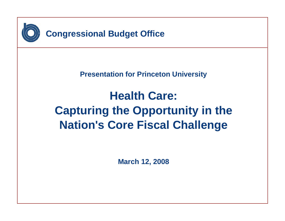

**Presentation for Princeton University**

# **Health Care: Capturing the Opportunity in the Nation's Core Fiscal Challenge**

**March 12, 2008**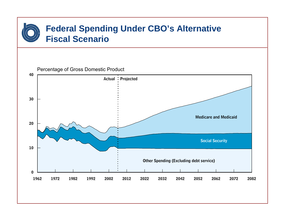### **Federal Spending Under CBO's Alternative Fiscal Scenario**

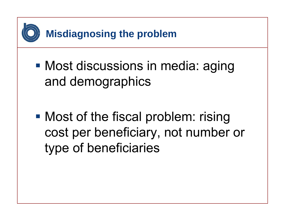

**• Most discussions in media: aging** and demographics

**• Most of the fiscal problem: rising** cost per beneficiary, not number or type of beneficiaries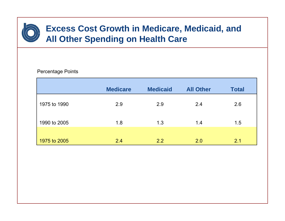

#### Percentage Points

|              | <b>Medicare</b> | <b>Medicaid</b> | <b>All Other</b> | <b>Total</b> |
|--------------|-----------------|-----------------|------------------|--------------|
| 1975 to 1990 | 2.9             | 2.9             | 2.4              | 2.6          |
| 1990 to 2005 | 1.8             | 1.3             | 1.4              | 1.5          |
| 1975 to 2005 | 2.4             | 2.2             | 2.0              | 2.1          |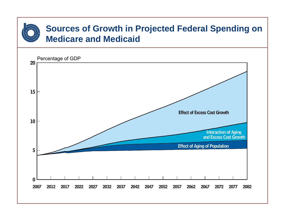#### **Sources of Growth in Projected Federal Spending on Medicare and Medicaid**

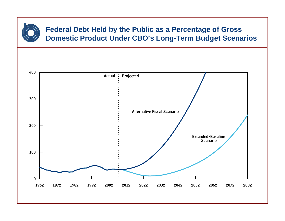

#### **Federal Debt Held by the Public as a Percentage of Gross Domestic Product Under CBO's Long-Term Budget Scenarios**

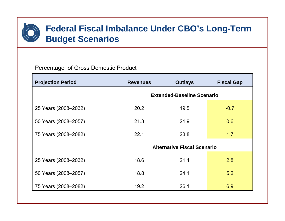#### **Federal Fiscal Imbalance Under CBO's Long-Term Budget Scenarios**

#### Percentage of Gross Domestic Product

| <b>Projection Period</b> | <b>Revenues</b>                    | <b>Outlays</b> | <b>Fiscal Gap</b> |  |  |
|--------------------------|------------------------------------|----------------|-------------------|--|--|
|                          | <b>Extended-Baseline Scenario</b>  |                |                   |  |  |
| 25 Years (2008–2032)     | 20.2                               | 19.5           | $-0.7$            |  |  |
| 50 Years (2008-2057)     | 21.3                               | 21.9           | 0.6               |  |  |
| 75 Years (2008–2082)     | 22.1                               | 23.8           | 1.7               |  |  |
|                          | <b>Alternative Fiscal Scenario</b> |                |                   |  |  |
| 25 Years (2008-2032)     | 18.6                               | 21.4           | 2.8               |  |  |
| 50 Years (2008-2057)     | 18.8                               | 24.1           | 5.2               |  |  |
| 75 Years (2008–2082)     | 19.2                               | 26.1           | 6.9               |  |  |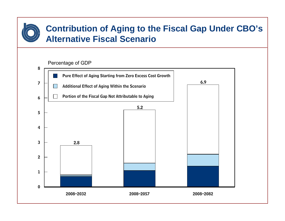#### **Contribution of Aging to the Fiscal Gap Under CBO's Alternative Fiscal Scenario**

#### Percentage of GDP

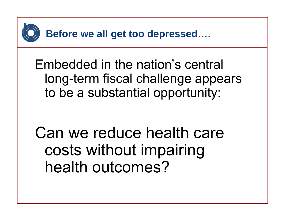

Embedded in the nation's central long-term fiscal challenge appears to be a substantial opportunity:

Can we reduce health care costs without impairing health outcomes?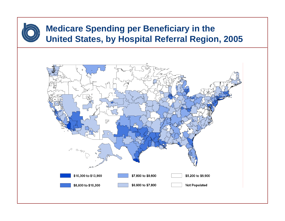## **Medicare Spending per Beneficiary in the United States, by Hospital Referral Region, 2005**

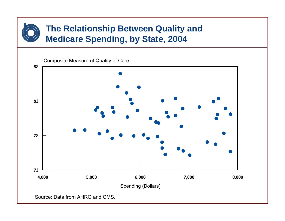#### **The Relationship Between Quality and Medicare Spending, by State, 2004**



Source: Data from AHRQ and CMS.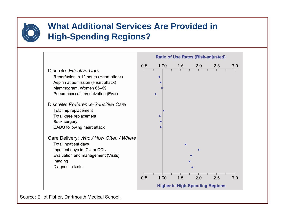

#### **What Additional Services Are Provided in High-Spending Regions?**



Source: Elliot Fisher, Dartmouth Medical School.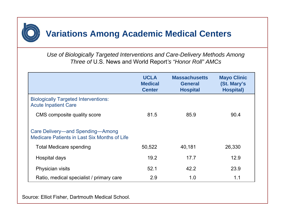

*Use of Biologically Targeted Interventions and Care-Delivery Methods Among Three of* U.S. News and World Report*'s "Honor Roll" AMCs*

|                                                                                  | <b>UCLA</b><br><b>Medical</b><br><b>Center</b> | <b>Massachusetts</b><br><b>General</b><br><b>Hospital</b> | <b>Mayo Clinic</b><br>(St. Mary's<br><b>Hospital</b> ) |
|----------------------------------------------------------------------------------|------------------------------------------------|-----------------------------------------------------------|--------------------------------------------------------|
| <b>Biologically Targeted Interventions:</b><br><b>Acute Inpatient Care</b>       |                                                |                                                           |                                                        |
| CMS composite quality score                                                      | 81.5                                           | 85.9                                                      | 90.4                                                   |
| Care Delivery—and Spending—Among<br>Medicare Patients in Last Six Months of Life |                                                |                                                           |                                                        |
| <b>Total Medicare spending</b>                                                   | 50,522                                         | 40,181                                                    | 26,330                                                 |
| Hospital days                                                                    | 19.2                                           | 17.7                                                      | 12.9                                                   |
| Physician visits                                                                 | 52.1                                           | 42.2                                                      | 23.9                                                   |
| Ratio, medical specialist / primary care                                         | 2.9                                            | 1.0                                                       | 1.1                                                    |

Source: Elliot Fisher, Dartmouth Medical School.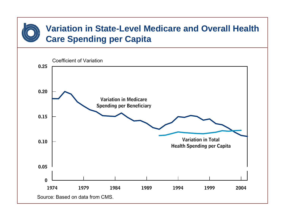### **Variation in State-Level Medicare and Overall Health Care Spending per Capita**

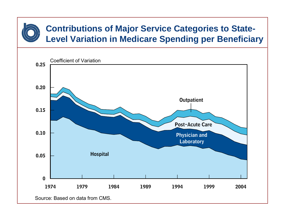### **Contributions of Major Service Categories to State-Level Variation in Medicare Spending per Beneficiary**



Source: Based on data from CMS.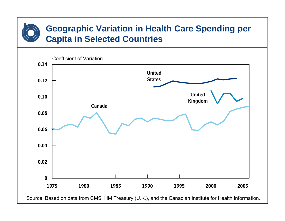#### **Geographic Variation in Health Care Spending per Capita in Selected Countries**



Source: Based on data from CMS, HM Treasury (U.K.), and the Canadian Institute for Health Information.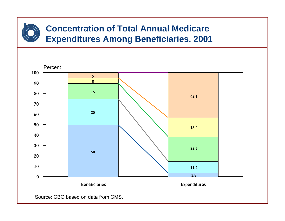## **Concentration of Total Annual Medicare Expenditures Among Beneficiaries, 2001**



Source: CBO based on data from CMS.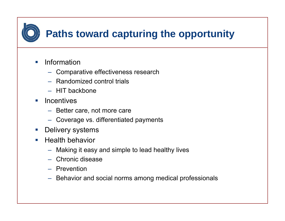

- $\mathcal{L}^{\mathcal{L}}$  Information
	- Comparative effectiveness research
	- Randomized control trials
	- HIT backbone
- **E** Incentives
	- Better care, not more care
	- Coverage vs. differentiated payments
- Delivery systems
- $\mathcal{C}^{\mathcal{A}}$  Health behavior
	- Making it easy and simple to lead healthy lives
	- Chronic disease
	- Prevention
	- Behavior and social norms among medical professionals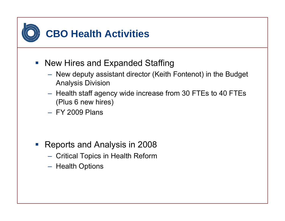

- New Hires and Expanded Staffing
	- New deputy assistant director (Keith Fontenot) in the Budget Analysis Division
	- $-$  Health staff agency wide increase from 30 FTEs to 40 FTEs  $\,$ (Plus 6 new hires)
	- FY 2009 Plans

- Reports and Analysis in 2008
	- $-$  Critical Topics in Health Reform
	- Health Options